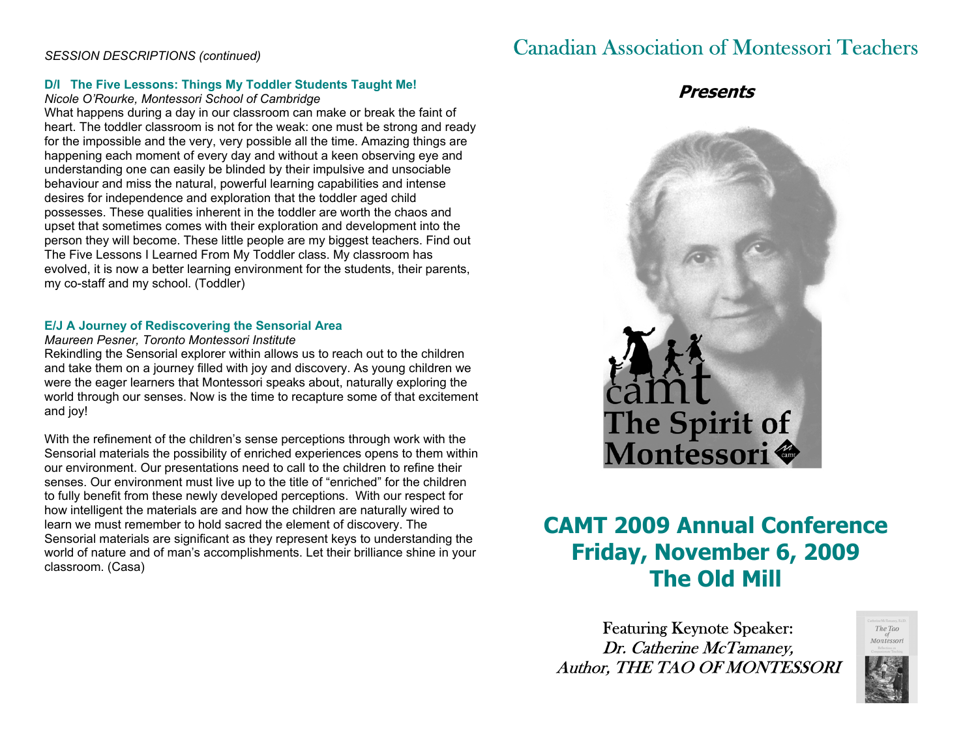## *SESSION DESCRIPTIONS (continued)*

#### **D/I The Five Lessons: Things My Toddler Students Taught Me!**

#### *Nicole O'Rourke, Montessori School of Cambridge*

What happens during a day in our classroom can make or break the faint of heart. The toddler classroom is not for the weak: one must be strong and ready for the impossible and the very, very possible all the time. Amazing things are happening each moment of every day and without a keen observing eye and understanding one can easily be blinded by their impulsive and unsociable behaviour and miss the natural, powerful learning capabilities and intense desires for independence and exploration that the toddler aged child possesses. These qualities inherent in the toddler are worth the chaos and upset that sometimes comes with their exploration and development into the person they will become. These little people are my biggest teachers. Find out The Five Lessons I Learned From My Toddler class. My classroom has evolved, it is now a better learning environment for the students, their parents, my co-staff and my school. (Toddler)

#### **E/J A Journey of Rediscovering the Sensorial Area**

#### *Maureen Pesner, Toronto Montessori Institute*

Rekindling the Sensorial explorer within allows us to reach out to the children and take them on a journey filled with joy and discovery. As young children we were the eager learners that Montessori speaks about, naturally exploring the world through our senses. Now is the time to recapture some of that excitement and joy!

With the refinement of the children's sense perceptions through work with the Sensorial materials the possibility of enriched experiences opens to them within our environment. Our presentations need to call to the children to refine their senses. Our environment must live up to the title of "enriched" for the children to fully benefit from these newly developed perceptions. With our respect for how intelligent the materials are and how the children are naturally wired to learn we must remember to hold sacred the element of discovery. The Sensorial materials are significant as they represent keys to understanding the world of nature and of man's accomplishments. Let their brilliance shine in your classroom. (Casa)

## Canadian Association of Montessori Teachers

## **Presents**



## **CAMT 2009 Annual Conference Friday, November 6, 2009 The Old Mill**

Featuring Keynote Speaker: Dr. Catherine McTamaney, Author, THE TAO OF MONTESSORI



The Tao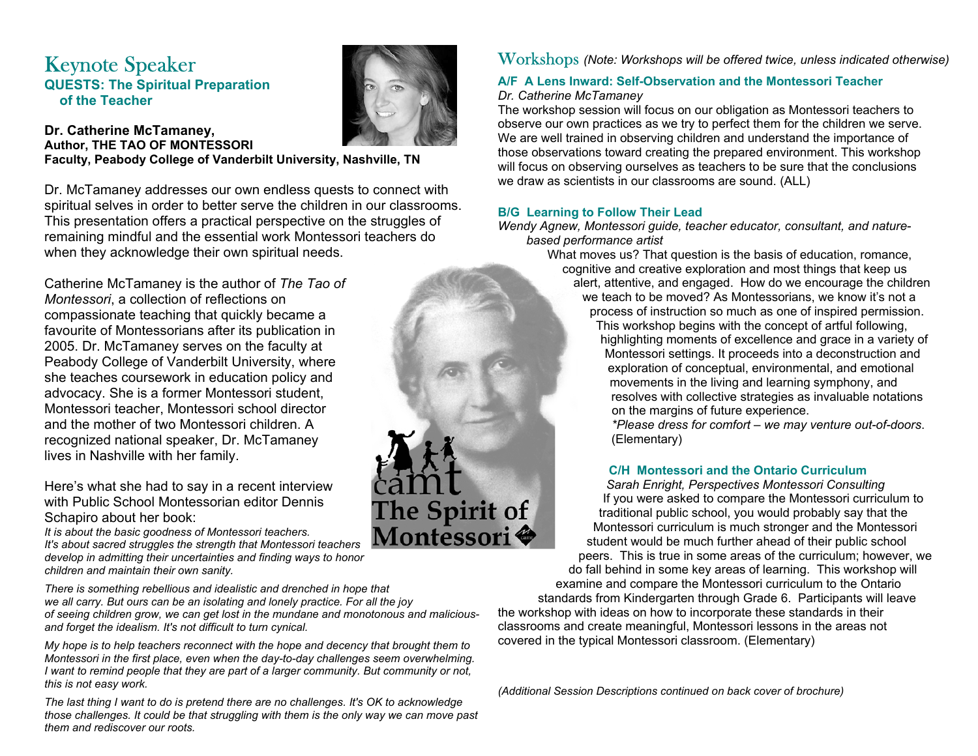## Keynote Speaker **QUESTS: The Spiritual Preparation of the Teacher**



The Spirit of Montessori<sup>•</sup>

#### **Dr. Catherine McTamaney, Author, THE TAO OF MONTESSORI Faculty, Peabody College of Vanderbilt University, Nashville, TN**

Dr. McTamaney addresses our own endless quests to connect with spiritual selves in order to better serve the children in our classrooms. This presentation offers a practical perspective on the struggles of remaining mindful and the essential work Montessori teachers do when they acknowledge their own spiritual needs.

Catherine McTamaney is the author of *The Tao of Montessori*, a collection of reflections on compassionate teaching that quickly became a favourite of Montessorians after its publication in 2005. Dr. McTamaney serves on the faculty at Peabody College of Vanderbilt University, where she teaches coursework in education policy and advocacy. She is a former Montessori student, Montessori teacher, Montessori school director and the mother of two Montessori children. A recognized national speaker, Dr. McTamaney lives in Nashville with her family.

Here's what she had to say in a recent interview with Public School Montessorian editor Dennis Schapiro about her book:

*It is about the basic goodness of Montessori teachers. It's about sacred struggles the strength that Montessori teachers develop in admitting their uncertainties and finding ways to honor children and maintain their own sanity.* 

*There is something rebellious and idealistic and drenched in hope that we all carry. But ours can be an isolating and lonely practice. For all the joy of seeing children grow, we can get lost in the mundane and monotonous and maliciousand forget the idealism. It's not difficult to turn cynical.* 

*My hope is to help teachers reconnect with the hope and decency that brought them to Montessori in the first place, even when the day-to-day challenges seem overwhelming. I want to remind people that they are part of a larger community. But community or not, this is not easy work.* 

*The last thing I want to do is pretend there are no challenges. It's OK to acknowledge those challenges. It could be that struggling with them is the only way we can move past them and rediscover our roots.* 

Workshops *(Note: Workshops will be offered twice, unless indicated otherwise)* 

### **A/F A Lens Inward: Self-Observation and the Montessori Teacher** *Dr. Catherine McTamaney*

The workshop session will focus on our obligation as Montessori teachers to observe our own practices as we try to perfect them for the children we serve. We are well trained in observing children and understand the importance of those observations toward creating the prepared environment. This workshop will focus on observing ourselves as teachers to be sure that the conclusions we draw as scientists in our classrooms are sound. (ALL)

## **B/G Learning to Follow Their Lead**

*Wendy Agnew, Montessori guide, teacher educator, consultant, and naturebased performance artist* 

What moves us? That question is the basis of education, romance, cognitive and creative exploration and most things that keep us alert, attentive, and engaged. How do we encourage the children we teach to be moved? As Montessorians, we know it's not a process of instruction so much as one of inspired permission.

This workshop begins with the concept of artful following, highlighting moments of excellence and grace in a variety of Montessori settings. It proceeds into a deconstruction and exploration of conceptual, environmental, and emotional movements in the living and learning symphony, and resolves with collective strategies as invaluable notations on the margins of future experience.

*\*Please dress for comfort – we may venture out-of-doors*. (Elementary)

## **C/H Montessori and the Ontario Curriculum**

*Sarah Enright, Perspectives Montessori Consulting*  If you were asked to compare the Montessori curriculum to traditional public school, you would probably say that the Montessori curriculum is much stronger and the Montessori student would be much further ahead of their public school peers. This is true in some areas of the curriculum; however, we

do fall behind in some key areas of learning. This workshop will examine and compare the Montessori curriculum to the Ontario standards from Kindergarten through Grade 6. Participants will leave the workshop with ideas on how to incorporate these standards in their classrooms and create meaningful, Montessori lessons in the areas not covered in the typical Montessori classroom. (Elementary)

*(Additional Session Descriptions continued on back cover of brochure)*